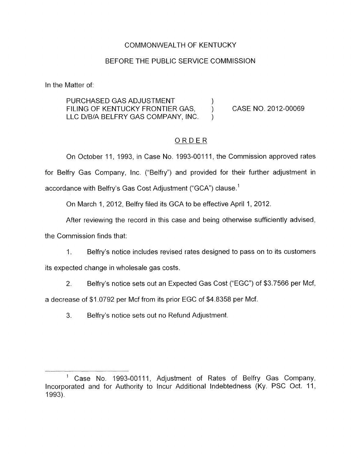## COMMONWEALTH OF KENTUCKY

## BEFORE THE PUBLIC SERVICE COMMISSION

In the Matter of:

PURCHASED GAS ADJUSTMENT (3) FILING OF KENTUCKY FRONTIER GAS, LLC D/B/A BELFRY GAS COMPANY, INC.

CASE NO. 2012-00069

# ORDER

)

On October 11, 1993, in Case No. 1993-00111, the Commission approved rates for Belfry Gas Company, Inc. ("Belfry") and provided for their further adjustment in accordance with Belfry's Gas Cost Adjustment ("GCA") clause.'

On March 1, 2012, Belfry filed its GCA to be effective April 1, 2012.

After reviewing the record in this case and being otherwise sufficiently advised,

the Commission finds that:

1. Belfry's notice includes revised rates designed to pass on to its customers

its expected change in wholesale gas costs.

2. Belfry's notice sets out an Expected Gas Cost ("EGC'') of \$3.7566 per Mcf,

a decrease of \$1.0792 per Mcf from its prior EGC of \$4.8358 per Mcf.

3. Belfry's notice sets out no Refund Adjustment.

<sup>&#</sup>x27; Case No. 1993-00111, Adjustment of Rates of Belfry Gas Company, Incorporated and for Authority to Incur Additional Indebtedness (Ky. PSC Oct. 11, 1993).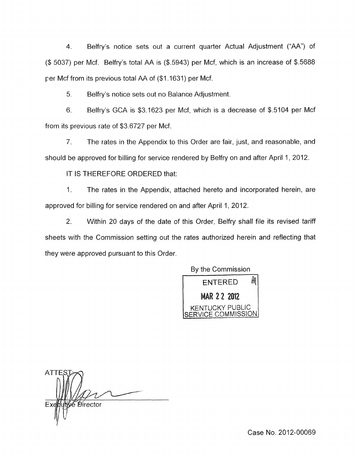4. Belfry's notice sets out a current quarter Actual Adjustment ("AA") of (\$ 5037) per Mcf. Belfry's total AA is (\$.5943) per Mcf, which is an increase of \$.5688 per Mcf from its previous total AA of (\$1.1631) per Mcf.

5. Belfry's notice sets out no Balance Adjustment.

6. Belfry's GCA is \$3.1623 per Mcf, which is a decrease of \$.5104 per Mcf from its previous rate of \$3.6727 per Mcf.

7. The rates in the Appendix to this Order are fair, just, and reasonable, and should be approved for billing for service rendered by Belfry on and after April 1, 2012.

IT IS THEREFORE ORDERED that:

1. The rates in the Appendix, attached hereto and incorporated herein, are approved for billing for service rendered on and after April 1, 2012.

2. Within 20 days of the date of this Order, Belfry shall file its revised tariff sheets with the Commission setting out the rates authorized herein and reflecting that they were approved pursuant to this Order.

**By** the Commission



**ATTE** *€́ D*irector Ex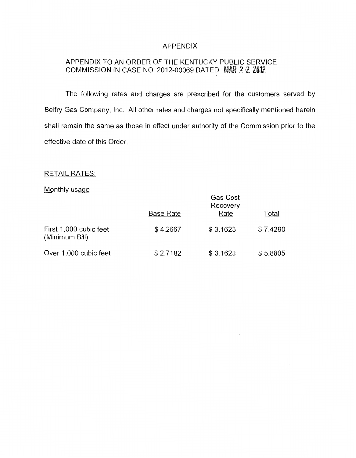#### APPENDIX

# APPENDIX TO AN ORDER OF THE KENTUCKY PUBLIC SERVICE COMMISSION IN CASE NO. 2012-00069 DATED MAR 2 2 2012

The following rates and charges are prescribed for the customers served by Belfry Gas Company, Inc. All other rates and charges not specifically mentioned herein shall remain the same as those in effect under authority of the Commission prior to the effective date of this Order.

### RETAIL RATES:

### Monthly usage

|                                          | <b>Base Rate</b> | Gas Cost<br>Recovery<br>Rate | Total    |
|------------------------------------------|------------------|------------------------------|----------|
| First 1,000 cubic feet<br>(Minimum Bill) | \$4.2667         | \$3.1623                     | \$7.4290 |
| Over 1,000 cubic feet                    | \$2.7182         | \$3.1623                     | \$5.8805 |